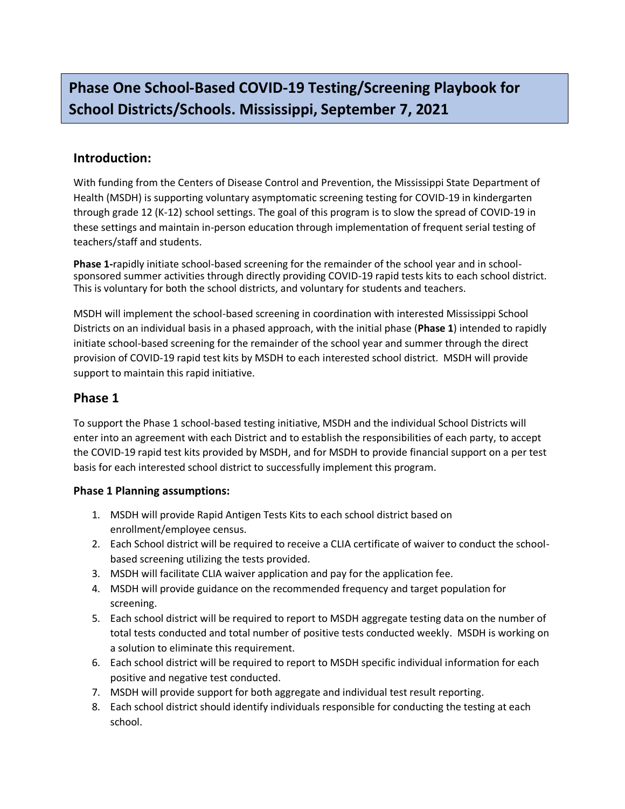# **Phase One School-Based COVID-19 Testing/Screening Playbook for School Districts/Schools. Mississippi, September 7, 2021**

## **Introduction:**

With funding from the Centers of Disease Control and Prevention, the Mississippi State Department of Health (MSDH) is supporting voluntary asymptomatic screening testing for COVID-19 in kindergarten through grade 12 (K-12) school settings. The goal of this program is to slow the spread of COVID-19 in these settings and maintain in-person education through implementation of frequent serial testing of teachers/staff and students.

**Phase 1-**rapidly initiate school-based screening for the remainder of the school year and in schoolsponsored summer activities through directly providing COVID-19 rapid tests kits to each school district. This is voluntary for both the school districts, and voluntary for students and teachers.

MSDH will implement the school-based screening in coordination with interested Mississippi School Districts on an individual basis in a phased approach, with the initial phase (**Phase 1**) intended to rapidly initiate school-based screening for the remainder of the school year and summer through the direct provision of COVID-19 rapid test kits by MSDH to each interested school district. MSDH will provide support to maintain this rapid initiative.

### **Phase 1**

To support the Phase 1 school-based testing initiative, MSDH and the individual School Districts will enter into an agreement with each District and to establish the responsibilities of each party, to accept the COVID-19 rapid test kits provided by MSDH, and for MSDH to provide financial support on a per test basis for each interested school district to successfully implement this program.

#### **Phase 1 Planning assumptions:**

- 1. MSDH will provide Rapid Antigen Tests Kits to each school district based on enrollment/employee census.
- 2. Each School district will be required to receive a CLIA certificate of waiver to conduct the schoolbased screening utilizing the tests provided.
- 3. MSDH will facilitate CLIA waiver application and pay for the application fee.
- 4. MSDH will provide guidance on the recommended frequency and target population for screening.
- 5. Each school district will be required to report to MSDH aggregate testing data on the number of total tests conducted and total number of positive tests conducted weekly. MSDH is working on a solution to eliminate this requirement.
- 6. Each school district will be required to report to MSDH specific individual information for each positive and negative test conducted.
- 7. MSDH will provide support for both aggregate and individual test result reporting.
- 8. Each school district should identify individuals responsible for conducting the testing at each school.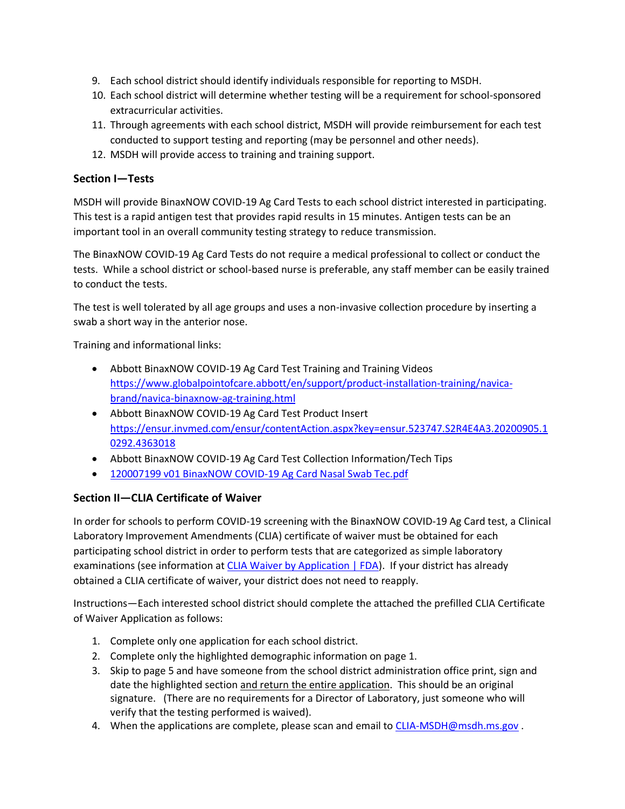- 9. Each school district should identify individuals responsible for reporting to MSDH.
- 10. Each school district will determine whether testing will be a requirement for school-sponsored extracurricular activities.
- 11. Through agreements with each school district, MSDH will provide reimbursement for each test conducted to support testing and reporting (may be personnel and other needs).
- 12. MSDH will provide access to training and training support.

#### **Section I—Tests**

MSDH will provide BinaxNOW COVID-19 Ag Card Tests to each school district interested in participating. This test is a rapid antigen test that provides rapid results in 15 minutes. Antigen tests can be an important tool in an overall community testing strategy to reduce transmission.

The BinaxNOW COVID-19 Ag Card Tests do not require a medical professional to collect or conduct the tests. While a school district or school-based nurse is preferable, any staff member can be easily trained to conduct the tests.

The test is well tolerated by all age groups and uses a non-invasive collection procedure by inserting a swab a short way in the anterior nose.

Training and informational links:

- Abbott BinaxNOW COVID-19 Ag Card Test Training and Training Videos [https://www.globalpointofcare.abbott/en/support/product-installation-training/navica](https://www.globalpointofcare.abbott/en/support/product-installation-training/navica-brand/navica-binaxnow-ag-training.html)[brand/navica-binaxnow-ag-training.html](https://www.globalpointofcare.abbott/en/support/product-installation-training/navica-brand/navica-binaxnow-ag-training.html)
- Abbott BinaxNOW COVID-19 Ag Card Test Product Insert [https://ensur.invmed.com/ensur/contentAction.aspx?key=ensur.523747.S2R4E4A3.20200905.1](https://ensur.invmed.com/ensur/contentAction.aspx?key=ensur.523747.S2R4E4A3.20200905.10292.4363018) [0292.4363018](https://ensur.invmed.com/ensur/contentAction.aspx?key=ensur.523747.S2R4E4A3.20200905.10292.4363018)
- Abbott BinaxNOW COVID-19 Ag Card Test Collection Information/Tech Tips
- [120007199 v01 BinaxNOW COVID-19 Ag Card Nasal Swab Tec.pdf](file:///C:/Users/Paul.Byers/Downloads/120007199%20v01%20BinaxNOW%20COVID-19%20Ag%20Card%20Nasal%20Swab%20Tec.pdf)

#### **Section II—CLIA Certificate of Waiver**

In order for schools to perform COVID-19 screening with the BinaxNOW COVID-19 Ag Card test, a Clinical Laboratory Improvement Amendments (CLIA) certificate of waiver must be obtained for each participating school district in order to perform tests that are categorized as simple laboratory examinations (see information a[t CLIA Waiver by Application | FDA\)](https://www.fda.gov/medical-devices/ivd-regulatory-assistance/clia-waiver-application). If your district has already obtained a CLIA certificate of waiver, your district does not need to reapply.

Instructions—Each interested school district should complete the attached the prefilled CLIA Certificate of Waiver Application as follows:

- 1. Complete only one application for each school district.
- 2. Complete only the highlighted demographic information on page 1.
- 3. Skip to page 5 and have someone from the school district administration office print, sign and date the highlighted section and return the entire application. This should be an original signature. (There are no requirements for a Director of Laboratory, just someone who will verify that the testing performed is waived).
- 4. When the applications are complete, please scan and email t[o CLIA-MSDH@msdh.ms.gov](mailto:CLIA-MSDH@msdh.ms.gov).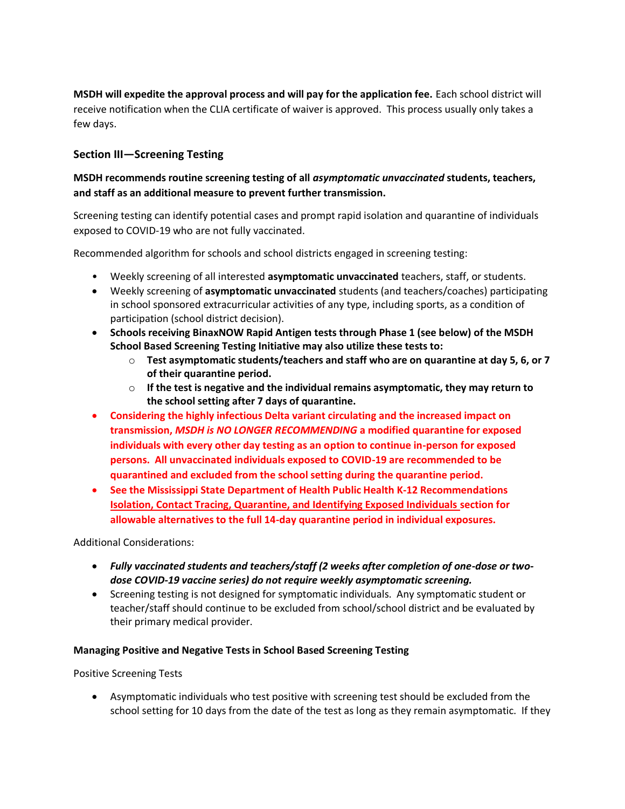**MSDH will expedite the approval process and will pay for the application fee.** Each school district will receive notification when the CLIA certificate of waiver is approved. This process usually only takes a few days.

#### **Section III—Screening Testing**

#### **MSDH recommends routine screening testing of all** *asymptomatic unvaccinated* **students, teachers, and staff as an additional measure to prevent further transmission.**

Screening testing can identify potential cases and prompt rapid isolation and quarantine of individuals exposed to COVID-19 who are not fully vaccinated.

Recommended algorithm for schools and school districts engaged in screening testing:

- Weekly screening of all interested **asymptomatic unvaccinated** teachers, staff, or students.
- Weekly screening of **asymptomatic unvaccinated** students (and teachers/coaches) participating in school sponsored extracurricular activities of any type, including sports, as a condition of participation (school district decision).
- **Schools receiving BinaxNOW Rapid Antigen tests through Phase 1 (see below) of the MSDH School Based Screening Testing Initiative may also utilize these tests to:**
	- o **Test asymptomatic students/teachers and staff who are on quarantine at day 5, 6, or 7 of their quarantine period.**
	- o **If the test is negative and the individual remains asymptomatic, they may return to the school setting after 7 days of quarantine.**
- **Considering the highly infectious Delta variant circulating and the increased impact on transmission,** *MSDH is NO LONGER RECOMMENDING* **a modified quarantine for exposed individuals with every other day testing as an option to continue in-person for exposed persons. All unvaccinated individuals exposed to COVID-19 are recommended to be quarantined and excluded from the school setting during the quarantine period.**
- **See the Mississippi State Department of Health Public Health K-12 Recommendations Isolation, Contact Tracing, Quarantine, and Identifying Exposed Individuals section for allowable alternatives to the full 14-day quarantine period in individual exposures.**

Additional Considerations:

- *Fully vaccinated students and teachers/staff (2 weeks after completion of one-dose or twodose COVID-19 vaccine series) do not require weekly asymptomatic screening.*
- Screening testing is not designed for symptomatic individuals. Any symptomatic student or teacher/staff should continue to be excluded from school/school district and be evaluated by their primary medical provider.

#### **Managing Positive and Negative Tests in School Based Screening Testing**

Positive Screening Tests

• Asymptomatic individuals who test positive with screening test should be excluded from the school setting for 10 days from the date of the test as long as they remain asymptomatic. If they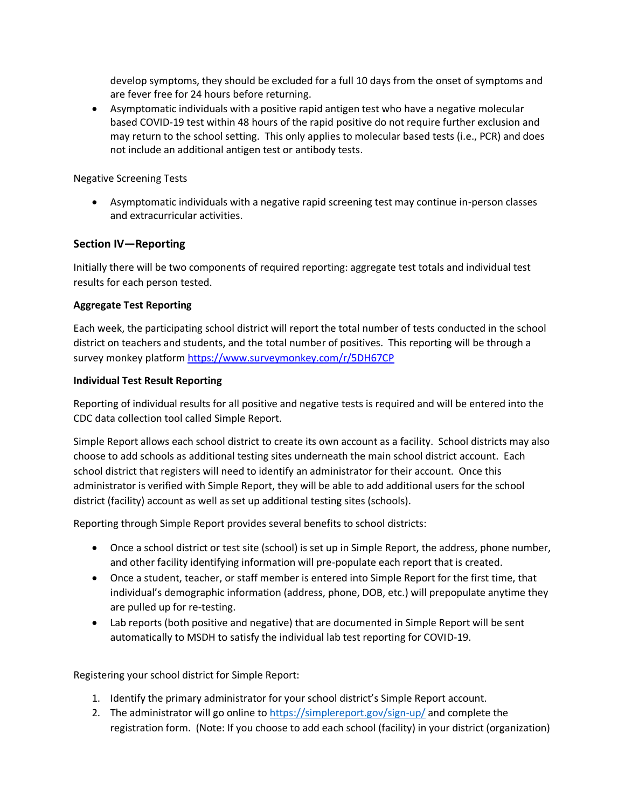develop symptoms, they should be excluded for a full 10 days from the onset of symptoms and are fever free for 24 hours before returning.

• Asymptomatic individuals with a positive rapid antigen test who have a negative molecular based COVID-19 test within 48 hours of the rapid positive do not require further exclusion and may return to the school setting. This only applies to molecular based tests (i.e., PCR) and does not include an additional antigen test or antibody tests.

#### Negative Screening Tests

• Asymptomatic individuals with a negative rapid screening test may continue in-person classes and extracurricular activities.

#### **Section IV—Reporting**

Initially there will be two components of required reporting: aggregate test totals and individual test results for each person tested.

#### **Aggregate Test Reporting**

Each week, the participating school district will report the total number of tests conducted in the school district on teachers and students, and the total number of positives. This reporting will be through a survey monkey platfor[m https://www.surveymonkey.com/r/5DH67CP](https://gcc02.safelinks.protection.outlook.com/?url=https%3A%2F%2Fwww.surveymonkey.com%2Fr%2F5DH67CP&data=04%7C01%7CPaul.Byers%40msdh.ms.gov%7C358c2ae6f6714e342e6b08d90ff01e59%7C559042dc8bf04d869fc0fbf4c7503c79%7C0%7C0%7C637558346245231476%7CUnknown%7CTWFpbGZsb3d8eyJWIjoiMC4wLjAwMDAiLCJQIjoiV2luMzIiLCJBTiI6Ik1haWwiLCJXVCI6Mn0%3D%7C1000&sdata=sUzZ%2FcSescL0JyICTV6aDs4CnE%2Bn%2B%2F5EL8Vl441Xhgw%3D&reserved=0)

#### **Individual Test Result Reporting**

Reporting of individual results for all positive and negative tests is required and will be entered into the CDC data collection tool called Simple Report.

Simple Report allows each school district to create its own account as a facility. School districts may also choose to add schools as additional testing sites underneath the main school district account. Each school district that registers will need to identify an administrator for their account. Once this administrator is verified with Simple Report, they will be able to add additional users for the school district (facility) account as well as set up additional testing sites (schools).

Reporting through Simple Report provides several benefits to school districts:

- Once a school district or test site (school) is set up in Simple Report, the address, phone number, and other facility identifying information will pre-populate each report that is created.
- Once a student, teacher, or staff member is entered into Simple Report for the first time, that individual's demographic information (address, phone, DOB, etc.) will prepopulate anytime they are pulled up for re-testing.
- Lab reports (both positive and negative) that are documented in Simple Report will be sent automatically to MSDH to satisfy the individual lab test reporting for COVID-19.

Registering your school district for Simple Report:

- 1. Identify the primary administrator for your school district's Simple Report account.
- 2. The administrator will go online to<https://simplereport.gov/sign-up/> and complete the registration form. (Note: If you choose to add each school (facility) in your district (organization)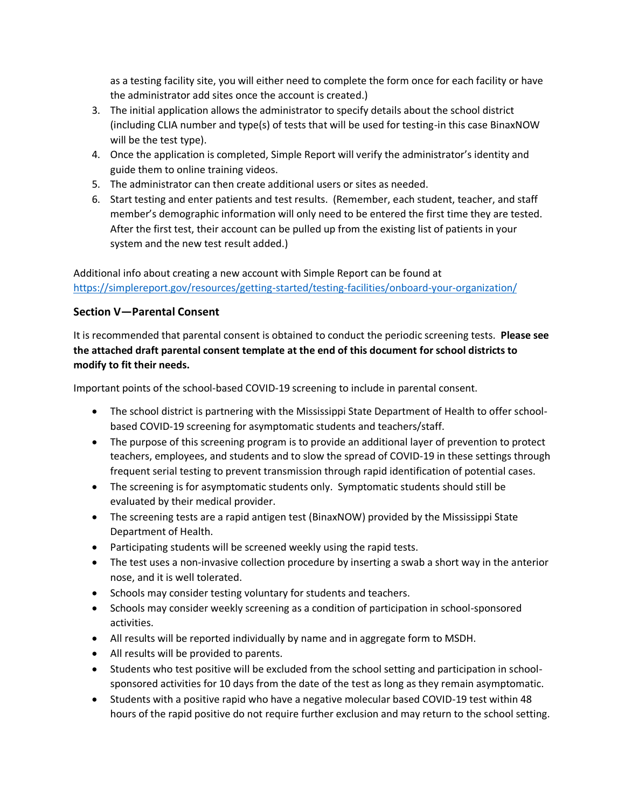as a testing facility site, you will either need to complete the form once for each facility or have the administrator add sites once the account is created.)

- 3. The initial application allows the administrator to specify details about the school district (including CLIA number and type(s) of tests that will be used for testing-in this case BinaxNOW will be the test type).
- 4. Once the application is completed, Simple Report will verify the administrator's identity and guide them to online training videos.
- 5. The administrator can then create additional users or sites as needed.
- 6. Start testing and enter patients and test results. (Remember, each student, teacher, and staff member's demographic information will only need to be entered the first time they are tested. After the first test, their account can be pulled up from the existing list of patients in your system and the new test result added.)

Additional info about creating a new account with Simple Report can be found at <https://simplereport.gov/resources/getting-started/testing-facilities/onboard-your-organization/>

#### **Section V—Parental Consent**

It is recommended that parental consent is obtained to conduct the periodic screening tests. **Please see the attached draft parental consent template at the end of this document for school districts to modify to fit their needs.** 

Important points of the school-based COVID-19 screening to include in parental consent.

- The school district is partnering with the Mississippi State Department of Health to offer schoolbased COVID-19 screening for asymptomatic students and teachers/staff.
- The purpose of this screening program is to provide an additional layer of prevention to protect teachers, employees, and students and to slow the spread of COVID-19 in these settings through frequent serial testing to prevent transmission through rapid identification of potential cases.
- The screening is for asymptomatic students only. Symptomatic students should still be evaluated by their medical provider.
- The screening tests are a rapid antigen test (BinaxNOW) provided by the Mississippi State Department of Health.
- Participating students will be screened weekly using the rapid tests.
- The test uses a non-invasive collection procedure by inserting a swab a short way in the anterior nose, and it is well tolerated.
- Schools may consider testing voluntary for students and teachers.
- Schools may consider weekly screening as a condition of participation in school-sponsored activities.
- All results will be reported individually by name and in aggregate form to MSDH.
- All results will be provided to parents.
- Students who test positive will be excluded from the school setting and participation in schoolsponsored activities for 10 days from the date of the test as long as they remain asymptomatic.
- Students with a positive rapid who have a negative molecular based COVID-19 test within 48 hours of the rapid positive do not require further exclusion and may return to the school setting.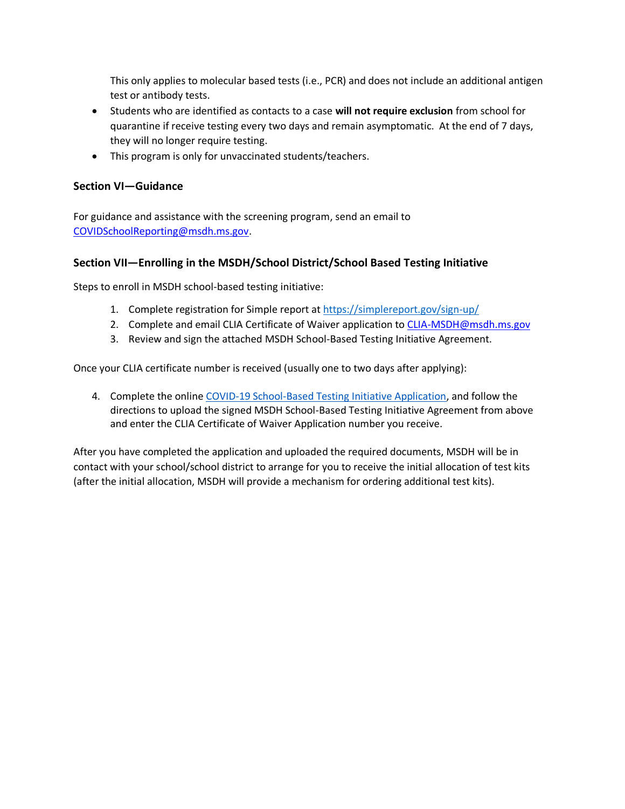This only applies to molecular based tests (i.e., PCR) and does not include an additional antigen test or antibody tests.

- Students who are identified as contacts to a case **will not require exclusion** from school for quarantine if receive testing every two days and remain asymptomatic. At the end of 7 days, they will no longer require testing.
- This program is only for unvaccinated students/teachers.

#### **Section VI—Guidance**

For guidance and assistance with the screening program, send an email to [COVIDSchoolReporting@msdh.ms.gov.](mailto:COVIDSchoolReporting@msdh.ms.gov)

#### **Section VII—Enrolling in the MSDH/School District/School Based Testing Initiative**

Steps to enroll in MSDH school-based testing initiative:

- 1. Complete registration for Simple report a[t https://simplereport.gov/sign-up/](https://simplereport.gov/sign-up/)
- 2. Complete and email CLIA Certificate of Waiver application to [CLIA-MSDH@msdh.ms.gov](mailto:CLIA-MSDH@msdh.ms.gov)
- 3. Review and sign the attached MSDH School-Based Testing Initiative Agreement.

Once your CLIA certificate number is received (usually one to two days after applying):

4. Complete the online [COVID-19 School-Based Testing Initiative Application,](https://app.smartsheet.com/b/form/e5bedd57f2fc482f878bf10c8c0df65e) and follow the directions to upload the signed MSDH School-Based Testing Initiative Agreement from above and enter the CLIA Certificate of Waiver Application number you receive.

After you have completed the application and uploaded the required documents, MSDH will be in contact with your school/school district to arrange for you to receive the initial allocation of test kits (after the initial allocation, MSDH will provide a mechanism for ordering additional test kits).